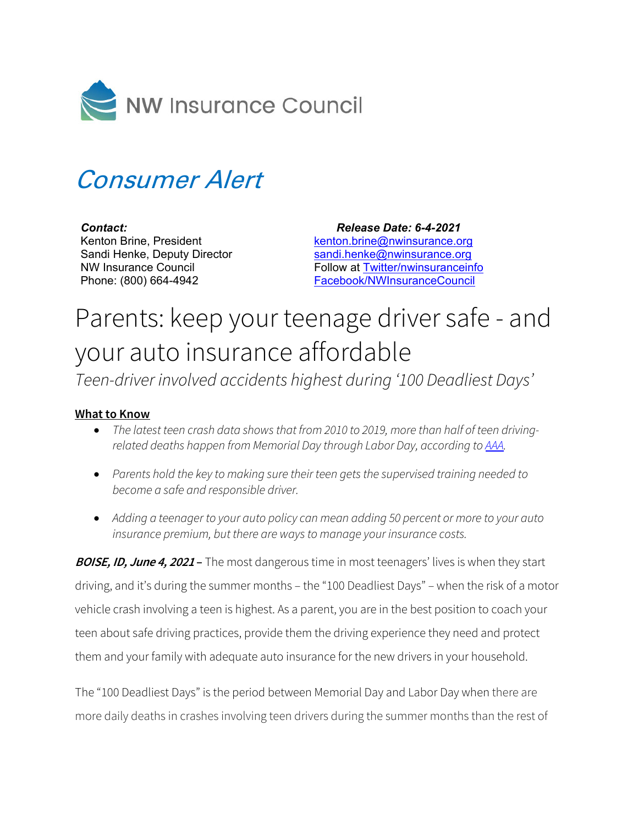

## Consumer Alert

## *Contact:*

Kenton Brine, President Sandi Henke, Deputy Director NW Insurance Council Phone: (800) 664-4942

 *Release Date: 6-4-2021* [kenton.brine@nwinsurance.org](mailto:kenton.brine@nwinsurance.org) [sandi.henke@nwinsurance.org](mailto:sandi.henke@nwinsurance.org) Follow at [Twitter/nwinsuranceinfo](http://twitter.com/#!/nwinsuranceinfo) [Facebook/NWInsuranceCouncil](https://www.facebook.com/NWInsuranceCouncil)

## Parents: keep your teenage driver safe - and your auto insurance affordable

*Teen-driver involved accidents highest during '100 Deadliest Days'*

## **What to Know**

- *The latest teen crash data shows that from 2010 to 2019, more than half of teen drivingrelated deaths happen from Memorial Day through Labor Day, according to [AAA.](https://newsroom.aaa.com/2021/06/summertime-blues-the-return-of-the-100-deadliest-days-for-teen-drivers/)*
- *Parents hold the key to making sure their teen gets the supervised training needed to become a safe and responsible driver.*
- Adding a teenager to your auto policy can mean adding 50 percent or more to your auto *insurance premium, but there are ways to manage your insurance costs.*

**BOISE, ID, June 4, 2021 –** The most dangerous time in most teenagers' lives is when they start driving, and it's during the summer months – the "100 Deadliest Days" – when the risk of a motor vehicle crash involving a teen is highest. As a parent, you are in the best position to coach your teen about safe driving practices, provide them the driving experience they need and protect them and your family with adequate auto insurance for the new drivers in your household.

The "100 Deadliest Days" is the period between Memorial Day and Labor Day when there are more daily deaths in crashes involving teen drivers during the summer months than the rest of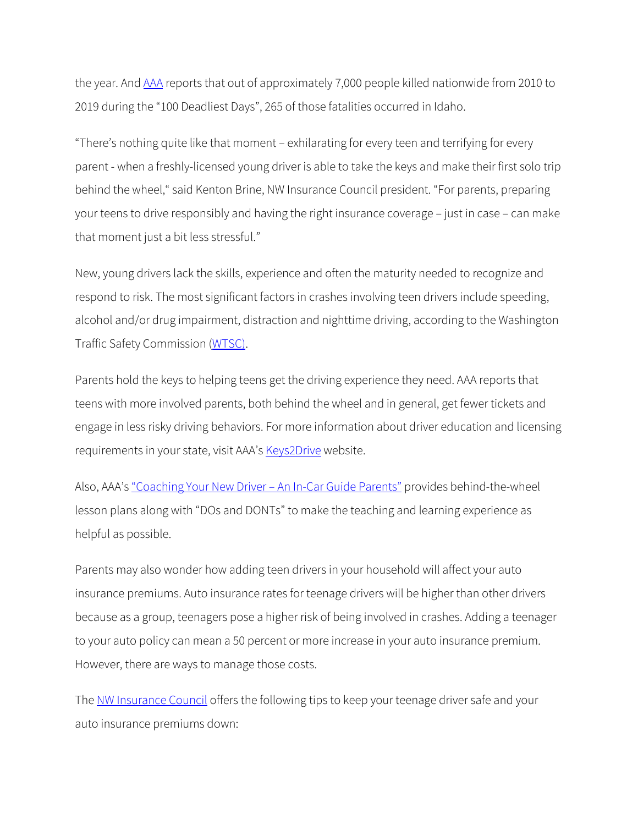the year. An[d AAA](https://newsroom.aaa.com/2021/06/summertime-blues-the-return-of-the-100-deadliest-days-for-teen-drivers/) reports that out of approximately 7,000 people killed nationwide from 2010 to 2019 during the "100 Deadliest Days", 265 of those fatalities occurred in Idaho.

"There's nothing quite like that moment – exhilarating for every teen and terrifying for every parent - when a freshly-licensed young driver is able to take the keys and make their first solo trip behind the wheel," said Kenton Brine, NW Insurance Council president. "For parents, preparing your teens to drive responsibly and having the right insurance coverage – just in case – can make that moment just a bit less stressful."

New, young drivers lack the skills, experience and often the maturity needed to recognize and respond to risk. The most significant factors in crashes involving teen drivers include speeding, alcohol and/or drug impairment, distraction and nighttime driving, according to the Washington Traffic Safety Commission [\(WTSC\)](https://wtsc.wa.gov/).

Parents hold the keys to helping teens get the driving experience they need. AAA reports that teens with more involved parents, both behind the wheel and in general, get fewer tickets and engage in less risky driving behaviors. For more information about driver education and licensing requirements in your state, visit AAA's [Keys2Drive](https://teendriving.aaa.com/WA/getting-ready/driver-education/) website.

Also, AAA's ["Coaching Your New Driver](https://aaa.biz/aaacampus/aaainstitute/drivertraining/ParentCoachingGuide2020.pdf) – An In-Car Guide Parents" provides behind-the-wheel lesson plans along with "DOs and DONTs" to make the teaching and learning experience as helpful as possible.

Parents may also wonder how adding teen drivers in your household will affect your auto insurance premiums. Auto insurance rates for teenage drivers will be higher than other drivers because as a group, teenagers pose a higher risk of being involved in crashes. Adding a teenager to your auto policy can mean a 50 percent or more increase in your auto insurance premium. However, there are ways to manage those costs.

The [NW Insurance Council](http://www.nwinsurance.org/) offers the following tips to keep your teenage driver safe and your auto insurance premiums down: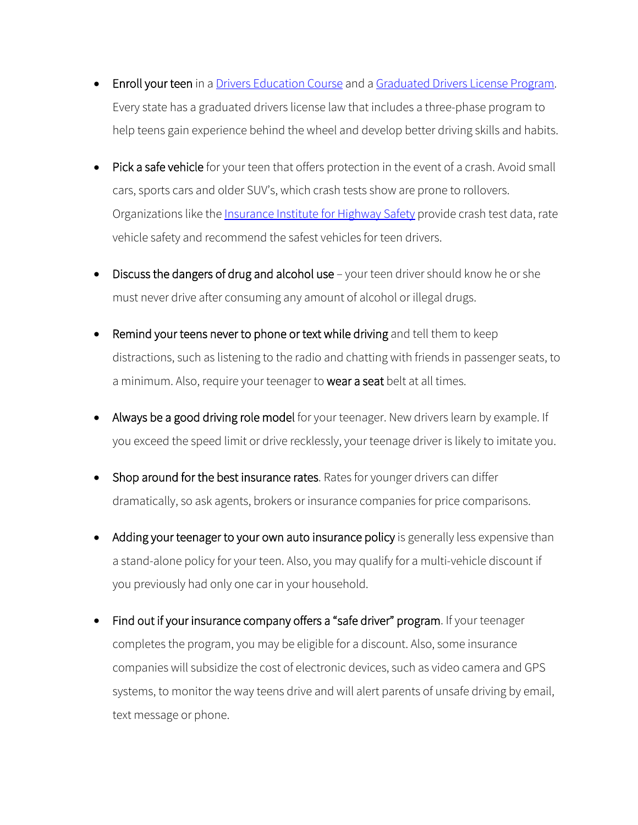- Enroll your teen in a [Drivers Education Course](http://teendriving.aaa.com/WA/getting-ready/driver-education/) and a [Graduated Drivers License Program.](https://www.sde.idaho.gov/student-engagement/driver-ed/index.html) Every state has a graduated drivers license law that includes a three-phase program to help teens gain experience behind the wheel and develop better driving skills and habits.
- Pick a safe vehicle for your teen that offers protection in the event of a crash. Avoid small cars, sports cars and older SUV's, which crash tests show are prone to rollovers. Organizations like the *Insurance Institute for Highway Safety* provide crash test data, rate vehicle safety and recommend the safest vehicles for teen drivers.
- Discuss the dangers of drug and alcohol use your teen driver should know he or she must never drive after consuming any amount of alcohol or illegal drugs.
- Remind your teens never to phone or text while driving and tell them to keep distractions, such as listening to the radio and chatting with friends in passenger seats, to a minimum. Also, require your teenager to wear a seat belt at all times.
- Always be a good driving role model for your teenager. New drivers learn by example. If you exceed the speed limit or drive recklessly, your teenage driver is likely to imitate you.
- Shop around for the best insurance rates. Rates for younger drivers can differ dramatically, so ask agents, brokers or insurance companies for price comparisons.
- Adding your teenager to your own auto insurance policy is generally less expensive than a stand-alone policy for your teen. Also, you may qualify for a multi-vehicle discount if you previously had only one car in your household.
- Find out if your insurance company offers a "safe driver" program. If your teenager completes the program, you may be eligible for a discount. Also, some insurance companies will subsidize the cost of electronic devices, such as video camera and GPS systems, to monitor the way teens drive and will alert parents of unsafe driving by email, text message or phone.